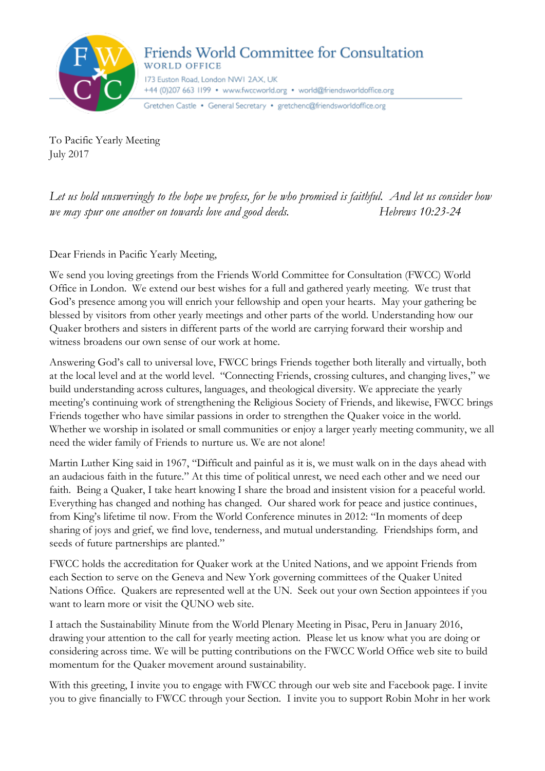

To Pacific Yearly Meeting July 2017

*Let us hold unswervingly to the hope we profess, for he who promised is faithful. And let us consider how we may spur one another on towards love and good deeds.* Hebrews 10:23-24

Dear Friends in Pacific Yearly Meeting,

We send you loving greetings from the Friends World Committee for Consultation (FWCC) World Office in London. We extend our best wishes for a full and gathered yearly meeting. We trust that God's presence among you will enrich your fellowship and open your hearts. May your gathering be blessed by visitors from other yearly meetings and other parts of the world. Understanding how our Quaker brothers and sisters in different parts of the world are carrying forward their worship and witness broadens our own sense of our work at home.

Answering God's call to universal love, FWCC brings Friends together both literally and virtually, both at the local level and at the world level. "Connecting Friends, crossing cultures, and changing lives," we build understanding across cultures, languages, and theological diversity. We appreciate the yearly meeting's continuing work of strengthening the Religious Society of Friends, and likewise, FWCC brings Friends together who have similar passions in order to strengthen the Quaker voice in the world. Whether we worship in isolated or small communities or enjoy a larger yearly meeting community, we all need the wider family of Friends to nurture us. We are not alone!

Martin Luther King said in 1967, "Difficult and painful as it is, we must walk on in the days ahead with an audacious faith in the future." At this time of political unrest, we need each other and we need our faith. Being a Quaker, I take heart knowing I share the broad and insistent vision for a peaceful world. Everything has changed and nothing has changed. Our shared work for peace and justice continues, from King's lifetime til now. From the World Conference minutes in 2012: "In moments of deep sharing of joys and grief, we find love, tenderness, and mutual understanding. Friendships form, and seeds of future partnerships are planted."

FWCC holds the accreditation for Quaker work at the United Nations, and we appoint Friends from each Section to serve on the Geneva and New York governing committees of the Quaker United Nations Office. Quakers are represented well at the UN. Seek out your own Section appointees if you want to learn more or visit the QUNO web site.

I attach the Sustainability Minute from the World Plenary Meeting in Pisac, Peru in January 2016, drawing your attention to the call for yearly meeting action. Please let us know what you are doing or considering across time. We will be putting contributions on the FWCC World Office web site to build momentum for the Quaker movement around sustainability.

With this greeting, I invite you to engage with FWCC through our web site and Facebook page. I invite you to give financially to FWCC through your Section. I invite you to support Robin Mohr in her work